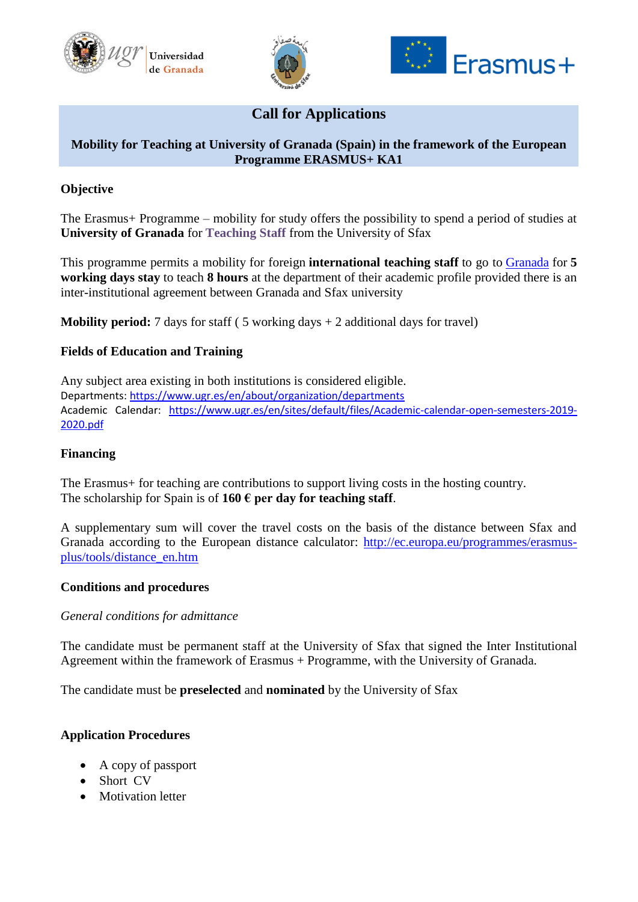





# **Call for Applications**

## **Mobility for Teaching at University of Granada (Spain) in the framework of the European Programme ERASMUS+ KA1**

## **Objective**

The Erasmus+ Programme – mobility for study offers the possibility to spend a period of studies at **University of Granada** for **Teaching Staff** from the University of Sfax

This programme permits a mobility for foreign **international teaching staff** to go to [Granada](http://www.ugr.es/pages/universidad/granada) for **5 working days stay** to teach **8 hours** at the department of their academic profile provided there is an inter-institutional agreement between Granada and Sfax university

**Mobility period:** 7 days for staff  $(5 \text{ working days} + 2 \text{ additional days for travel})$ 

## **Fields of Education and Training**

Any subject area existing in both institutions is considered eligible. Departments:<https://www.ugr.es/en/about/organization/departments> Academic Calendar: [https://www.ugr.es/en/sites/default/files/Academic-calendar-open-semesters-2019-](https://www.ugr.es/en/sites/default/files/Academic-calendar-open-semesters-2019-2020.pdf) [2020.pdf](https://www.ugr.es/en/sites/default/files/Academic-calendar-open-semesters-2019-2020.pdf)

### **Financing**

The Erasmus+ for teaching are contributions to support living costs in the hosting country. The scholarship for Spain is of  $160 \text{ }\epsilon$  per day for teaching staff.

A supplementary sum will cover the travel costs on the basis of the distance between Sfax and Granada according to the European distance calculator: [http://ec.europa.eu/programmes/erasmus](http://ec.europa.eu/programmes/erasmus-plus/tools/distance_en.htm)[plus/tools/distance\\_en.htm](http://ec.europa.eu/programmes/erasmus-plus/tools/distance_en.htm)

#### **Conditions and procedures**

### *General conditions for admittance*

The candidate must be permanent staff at the University of Sfax that signed the Inter Institutional Agreement within the framework of Erasmus + Programme, with the University of Granada.

The candidate must be **preselected** and **nominated** by the University of Sfax

### **Application Procedures**

- A copy of passport
- Short CV
- Motivation letter